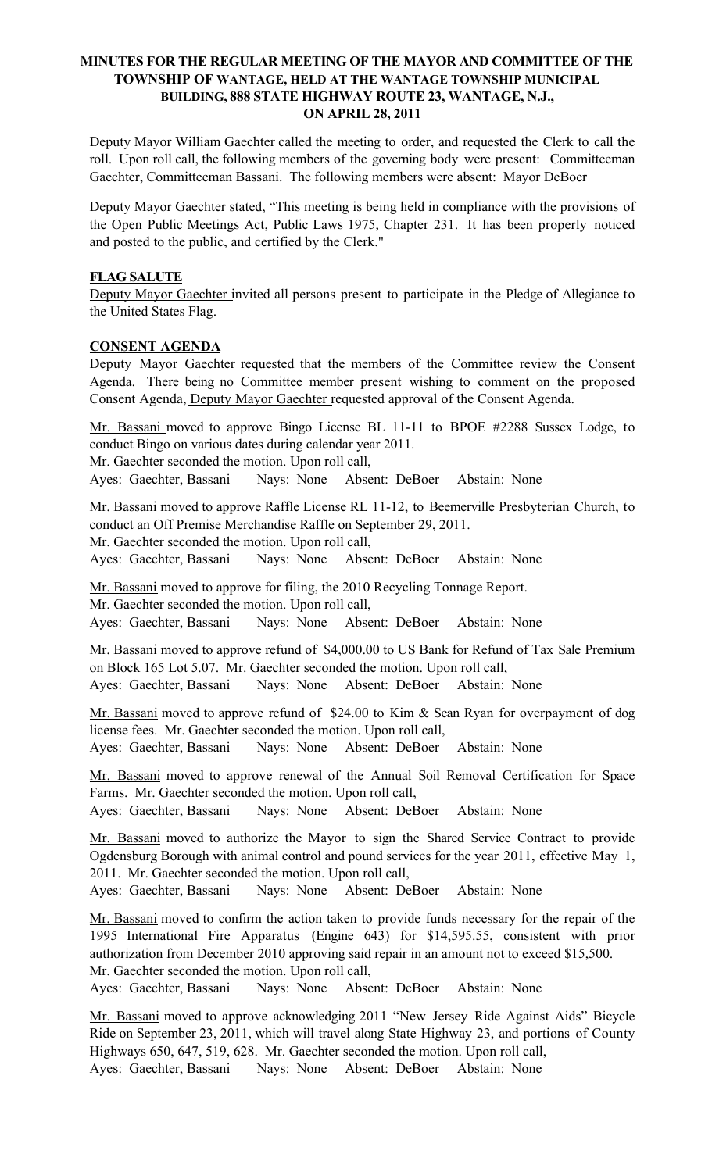# MINUTES FOR THE REGULAR MEETING OF THE MAYOR AND COMMITTEE OF THE TOWNSHIP OF WANTAGE, HELD AT THE WANTAGE TOWNSHIP MUNICIPAL BUILDING, 888 STATE HIGHWAY ROUTE 23, WANTAGE, N.J., ON APRIL 28, 2011

Deputy Mayor William Gaechter called the meeting to order, and requested the Clerk to call the roll. Upon roll call, the following members of the governing body were present: Committeeman Gaechter, Committeeman Bassani. The following members were absent: Mayor DeBoer

Deputy Mayor Gaechter stated, "This meeting is being held in compliance with the provisions of the Open Public Meetings Act, Public Laws 1975, Chapter 231. It has been properly noticed and posted to the public, and certified by the Clerk."

## FLAG SALUTE

Deputy Mayor Gaechter invited all persons present to participate in the Pledge of Allegiance to the United States Flag.

#### CONSENT AGENDA

Deputy Mayor Gaechter requested that the members of the Committee review the Consent Agenda. There being no Committee member present wishing to comment on the proposed Consent Agenda, Deputy Mayor Gaechter requested approval of the Consent Agenda.

Mr. Bassani moved to approve Bingo License BL 11-11 to BPOE #2288 Sussex Lodge, to conduct Bingo on various dates during calendar year 2011.

Mr. Gaechter seconded the motion. Upon roll call,

Ayes: Gaechter, Bassani Nays: None Absent: DeBoer Abstain: None

Mr. Bassani moved to approve Raffle License RL 11-12, to Beemerville Presbyterian Church, to conduct an Off Premise Merchandise Raffle on September 29, 2011.

Mr. Gaechter seconded the motion. Upon roll call,

Ayes: Gaechter, Bassani Nays: None Absent: DeBoer Abstain: None

Mr. Bassani moved to approve for filing, the 2010 Recycling Tonnage Report. Mr. Gaechter seconded the motion. Upon roll call, Ayes: Gaechter, Bassani Nays: None Absent: DeBoer Abstain: None

Mr. Bassani moved to approve refund of \$4,000.00 to US Bank for Refund of Tax Sale Premium on Block 165 Lot 5.07. Mr. Gaechter seconded the motion. Upon roll call, Ayes: Gaechter, Bassani Nays: None Absent: DeBoer Abstain: None

Mr. Bassani moved to approve refund of \$24.00 to Kim & Sean Ryan for overpayment of dog license fees. Mr. Gaechter seconded the motion. Upon roll call, Ayes: Gaechter, Bassani Nays: None Absent: DeBoer Abstain: None

Mr. Bassani moved to approve renewal of the Annual Soil Removal Certification for Space Farms. Mr. Gaechter seconded the motion. Upon roll call,

Ayes: Gaechter, Bassani Nays: None Absent: DeBoer Abstain: None

Mr. Bassani moved to authorize the Mayor to sign the Shared Service Contract to provide Ogdensburg Borough with animal control and pound services for the year 2011, effective May 1, 2011. Mr. Gaechter seconded the motion. Upon roll call,

Ayes: Gaechter, Bassani Nays: None Absent: DeBoer Abstain: None

Mr. Bassani moved to confirm the action taken to provide funds necessary for the repair of the 1995 International Fire Apparatus (Engine 643) for \$14,595.55, consistent with prior authorization from December 2010 approving said repair in an amount not to exceed \$15,500. Mr. Gaechter seconded the motion. Upon roll call,

Ayes: Gaechter, Bassani Nays: None Absent: DeBoer Abstain: None

Mr. Bassani moved to approve acknowledging 2011 "New Jersey Ride Against Aids" Bicycle Ride on September 23, 2011, which will travel along State Highway 23, and portions of County Highways 650, 647, 519, 628. Mr. Gaechter seconded the motion. Upon roll call, Ayes: Gaechter, Bassani Nays: None Absent: DeBoer Abstain: None